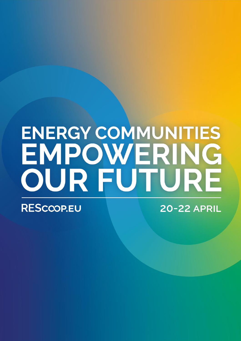# **ENERGY COMMUNITIES** EMPOWERING OUR FUTURE

**RESCOOP.EU** 

**20-22 APRIL**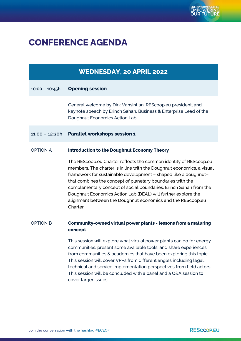# **CONFERENCE AGENDA**

# **WEDNESDAY, 20 APRIL 2022**

## **10:00 – 10:45h Opening session**

General welcome by Dirk Vansintjan, REScoop.eu president, and keynote speech by Erinch Sahan, Business & Enterprise Lead of the Doughnut Economics Action Lab.

# **11:00 – 12:30h Parallel workshops session 1**

# OPTION A **Introduction to the Doughnut Economy Theory**

The REScoop.eu Charter reflects the common identity of REScoop.eu members. The charter is in line with the Doughnut economics, a visual framework for sustainable development – shaped like a doughnut– that combines the concept of planetary boundaries with the complementary concept of social boundaries. Erinch Sahan from the Doughnut Economics Action Lab (DEAL) will further explore the alignment between the Doughnut economics and the REScoop.eu Charter.

# OPTION B **Community-owned virtual power plants - lessons from a maturing concept**

This session will explore what virtual power plants can do for energy communities, present some available tools, and share experiences from communities & academics that have been exploring this topic. This session will cover VPPs from different angles including legal, technical and service implementation perspectives from field actors. This session will be concluded with a panel and a Q&A session to cover larger issues.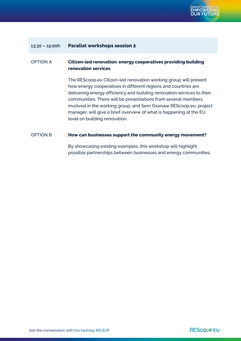

# **13:30 – 15:00h Parallel workshops session 2**

# OPTION A **Citizen-led renovation: energy cooperatives providing building renovation services**

The REScoop.eu Citizen-led renovation working group will present how energy cooperatives in different regions and countries are delivering energy efficiency and building renovation services to their communities. There will be presentations from several members involved in the working group, and Sem Oxenaar REScoop.eu, project manager, will give a brief overview of what is happening at the EU level on building renovation.

### OPTION B **How can businesses support the community energy movement?**

By showcasing existing examples, this workshop will highlight possible partnerships between businesses and energy communities.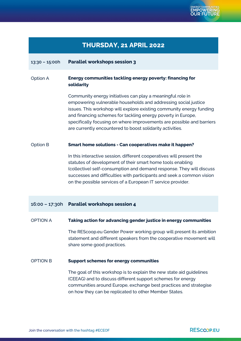# **THURSDAY, 21 APRIL 2022**

# **13:30 – 15:00h Parallel workshops session 3**

# Option A **Energy communities tackling energy poverty: financing for solidarity**

Community energy initiatives can play a meaningful role in empowering vulnerable households and addressing social justice issues. This workshop will explore existing community energy funding and financing schemes for tackling energy poverty in Europe, specifically focusing on where improvements are possible and barriers are currently encountered to boost solidarity activities.

## Option B **Smart home solutions - Can cooperatives make it happen?**

In this interactive session, different cooperatives will present the statutes of development of their smart home tools enabling (collective) self-consumption and demand response. They will discuss successes and difficulties with participants and seek a common vision on the possible services of a European IT service provider.

# **16:00 – 17:30h Parallel workshops session 4**

## OPTION A **Taking action for advancing gender justice in energy communities**

The REScoop.eu Gender Power working group will present its ambition statement and different speakers from the cooperative movement will share some good practices.

# OPTION B **Support schemes for energy communities**

The goal of this workshop is to explain the new state aid guidelines (CEEAG) and to discuss different support schemes for energy communities around Europe, exchange best practices and strategise on how they can be replicated to other Member States.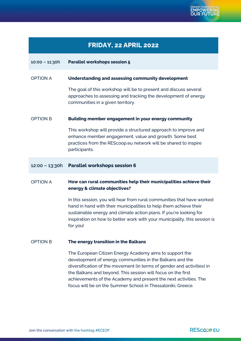

# **FRIDAY, 22 APRIL 2022**

| $10:00 - 11:30h$ | <b>Parallel workshops session 5</b>                                                                                                                                                                                                                                                                                                                                                              |
|------------------|--------------------------------------------------------------------------------------------------------------------------------------------------------------------------------------------------------------------------------------------------------------------------------------------------------------------------------------------------------------------------------------------------|
| <b>OPTION A</b>  | <b>Understanding and assessing community development</b>                                                                                                                                                                                                                                                                                                                                         |
|                  | The goal of this workshop will be to present and discuss several<br>approaches to assessing and tracking the development of energy<br>communities in a given territory.                                                                                                                                                                                                                          |
| <b>OPTION B</b>  | Building member engagement in your energy community                                                                                                                                                                                                                                                                                                                                              |
|                  | This workshop will provide a structured approach to improve and<br>enhance member engagement, value and growth. Some best<br>practices from the REScoop.eu network will be shared to inspire<br>participants.                                                                                                                                                                                    |
| 12:00 - 13:30h   | <b>Parallel workshops session 6</b>                                                                                                                                                                                                                                                                                                                                                              |
| <b>OPTION A</b>  | How can rural communities help their municipalities achieve their<br>energy & climate objectives?                                                                                                                                                                                                                                                                                                |
|                  | In this session, you will hear from rural communities that have worked<br>hand in hand with their municipalities to help them achieve their<br>sustainable energy and climate action plans. If you're looking for<br>inspiration on how to better work with your municipality, this session is<br>for you!                                                                                       |
| <b>OPTION B</b>  | The energy transition in the Balkans                                                                                                                                                                                                                                                                                                                                                             |
|                  | The European Citizen Energy Academy aims to support the<br>development of energy communities in the Balkans and the<br>diversification of the movement (in terms of gender and activities) in<br>the Balkans and beyond. This session will focus on the first<br>achievements of the Academy and present the next activities. The<br>focus will be on the Summer School in Thessaloniki, Greece. |